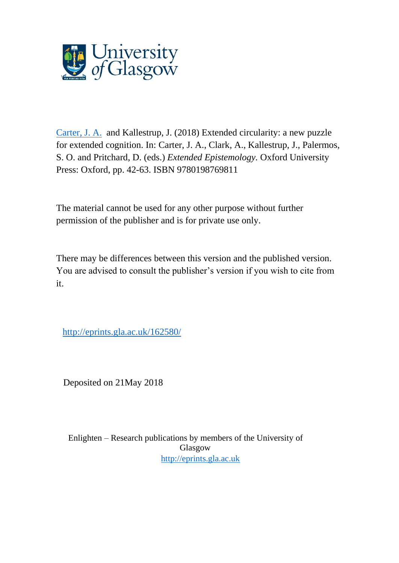

[Carter, J. A.](http://eprints.gla.ac.uk/view/author/38341.html) and Kallestrup, J. (2018) Extended circularity: a new puzzle for extended cognition. In: Carter, J. A., Clark, A., Kallestrup, J., Palermos, S. O. and Pritchard, D. (eds.) *Extended Epistemology.* Oxford University Press: Oxford, pp. 42-63. ISBN 9780198769811

The material cannot be used for any other purpose without further permission of the publisher and is for private use only.

There may be differences between this version and the published version. You are advised to consult the publisher's version if you wish to cite from it.

[http://eprints.gla.ac.uk/162580/](http://eprints.gla.ac.uk/209296/)

Deposited on 21May 2018

Enlighten – Research publications by members of the University of Glasgow [http://eprints.gla.ac.uk](http://eprints.gla.ac.uk/)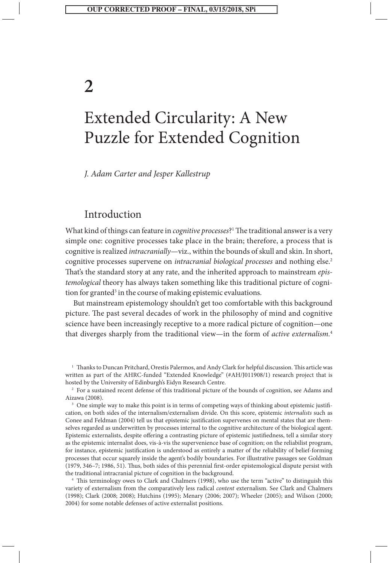# **2**

# Extended Circularity: A New Puzzle for Extended Cognition

*J. Adam Carter and Jesper Kallestrup*

# Introduction

What kind of things can feature in *cognitive processes*?1 The traditional answer is a very simple one: cognitive processes take place in the brain; therefore, a process that is cognitive is realized *intracranially*—viz., within the bounds of skull and skin. In short, cognitive processes supervene on *intracranial biological processes* and nothing else.<sup>2</sup> That's the standard story at any rate, and the inherited approach to mainstream *epistemological* theory has always taken something like this traditional picture of cognition for granted<sup>3</sup> in the course of making epistemic evaluations.

But mainstream epistemology shouldn't get too comfortable with this background picture. The past several decades of work in the philosophy of mind and cognitive science have been increasingly receptive to a more radical picture of cognition—one that diverges sharply from the traditional view—in the form of *active externalism.*<sup>4</sup>

<sup>&</sup>lt;sup>1</sup> Thanks to Duncan Pritchard, Orestis Palermos, and Andy Clark for helpful discussion. This article was written as part of the AHRC-funded "Extended Knowledge" (#AH/J011908/1) research project that is hosted by the University of Edinburgh's Eidyn Research Centre.

<sup>&</sup>lt;sup>2</sup> For a sustained recent defense of this traditional picture of the bounds of cognition, see Adams and Aizawa (2008).

<sup>&</sup>lt;sup>3</sup> One simple way to make this point is in terms of competing ways of thinking about epistemic justification, on both sides of the internalism/externalism divide. On this score, epistemic *internalists* such as Conee and Feldman (2004) tell us that epistemic justification supervenes on mental states that are themselves regarded as underwritten by processes internal to the cognitive architecture of the biological agent. Epistemic externalists, despite offering a contrasting picture of epistemic justifiedness, tell a similar story as the epistemic internalist does, vis-à-vis the supervenience base of cognition; on the reliabilist program, for instance, epistemic justification is understood as entirely a matter of the reliability of belief-forming processes that occur squarely inside the agent's bodily boundaries. For illustrative passages see Goldman (1979, 346–7; 1986, 51). Thus, both sides of this perennial first-order epistemological dispute persist with the traditional intracranial picture of cognition in the background.

<sup>4</sup> This terminology owes to Clark and Chalmers (1998), who use the term "active" to distinguish this variety of externalism from the comparatively less radical *content* externalism. See Clark and Chalmers (1998); Clark (2008; 2008); Hutchins (1995); Menary (2006; 2007); Wheeler (2005); and Wilson (2000; 2004) for some notable defenses of active externalist positions.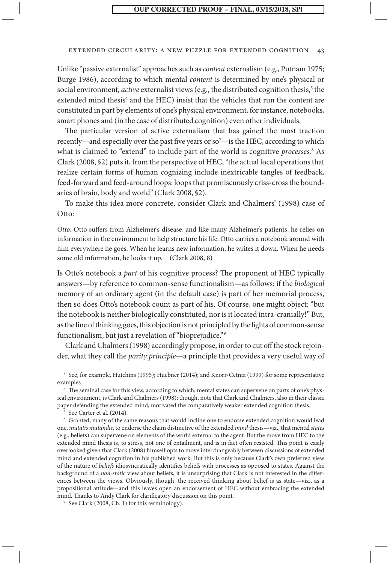#### extended circularity: a new puzzle for extended cognition 43

Unlike "passive externalist" approaches such as *content* externalism (e.g., Putnam 1975; Burge 1986), according to which mental *content* is determined by one's physical or social environment, *active* externalist views (e.g., the distributed cognition thesis,<sup>5</sup> the extended mind thesis<sup>6</sup> and the HEC) insist that the vehicles that run the content are constituted in part by elements of one's physical environment, for instance, notebooks, smart phones and (in the case of distributed cognition) even other individuals.

The particular version of active externalism that has gained the most traction recently—and especially over the past five years or so<sup>7</sup>—is the HEC, according to which what is claimed to "extend" to include part of the world is cognitive *processes.*<sup>8</sup> As Clark (2008, §2) puts it, from the perspective of HEC, "the actual local operations that realize certain forms of human cognizing include inextricable tangles of feedback, feed-forward and feed-around loops: loops that promiscuously criss-cross the boundaries of brain, body and world" (Clark 2008, §2).

To make this idea more concrete, consider Clark and Chalmers' (1998) case of Otto:

*Otto*: Otto suffers from Alzheimer's disease, and like many Alzheimer's patients, he relies on information in the environment to help structure his life. Otto carries a notebook around with him everywhere he goes. When he learns new information, he writes it down. When he needs some old information, he looks it up. (Clark 2008, 8)

Is Otto's notebook a *part* of his cognitive process? The proponent of HEC typically answers—by reference to common-sense functionalism—as follows: if the *biological* memory of an ordinary agent (in the default case) is part of her memorial process, then so does Otto's notebook count as part of his. Of course, one might object: "but the notebook is neither biologically constituted, nor is it located intra-cranially!" But, as the line of thinking goes, this objection is not principled by the lights of common-sense functionalism, but just a revelation of "bioprejudice."9

Clark and Chalmers (1998) accordingly propose, in order to cut off the stock rejoinder, what they call the *parity principle*—a principle that provides a very useful way of

<sup>5</sup> See, for example, Hutchins (1995); Huebner (2014); and Knorr-Cetnia (1999) for some representative examples.

<sup>6</sup> The seminal case for this view, according to which, mental states can supervene on parts of one's physical environment, is Clark and Chalmers (1998); though, note that Clark and Chalmers, also in their classic paper defending the extended mind, motivated the comparatively weaker extended cognition thesis.

<sup>7</sup> See Carter et al. (2014).

<sup>8</sup> Granted, many of the same reasons that would incline one to endorse extended cognition would lead one, *mutatis mutandis*, to endorse the claim distinctive of the extended *mind* thesis—viz., that mental *states* (e.g., beliefs) can supervene on elements of the world external to the agent. But the move from HEC to the extended mind thesis is, to stress, not one of entailment, and is in fact often resisted. This point is easily overlooked given that Clark (2008) himself opts to move interchangeably between discussions of extended mind and extended cognition in his published work. But this is only because Clark's own preferred view of the nature of *beliefs* idiosyncratically identifies beliefs with processes as opposed to states. Against the background of a *non-static* view about beliefs, it is unsurprising that Clark is not interested in the differences between the views. Obviously, though, the received thinking about belief is as state—viz., as a propositional attitude—and this leaves open an endorsement of HEC without embracing the extended mind. Thanks to Andy Clark for clarificatory discussion on this point.

<sup>9</sup> See Clark (2008, Ch. 1) for this terminology).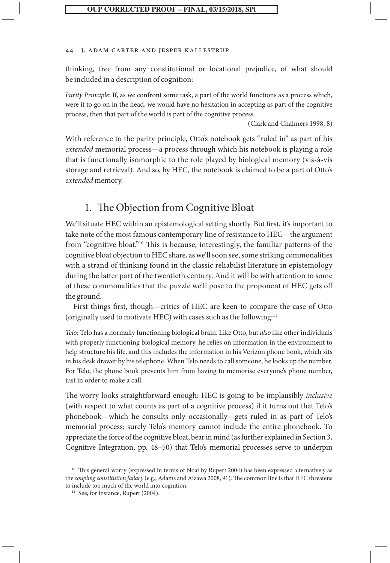#### 44 J. Adam Carter and Jesper Kallestrup

thinking, free from any constitutional or locational prejudice, of what should be included in a description of cognition:

*Parity Principle*: If, as we confront some task, a part of the world functions as a process which, were it to go on in the head, we would have no hesitation in accepting as part of the cognitive process, then that part of the world is part of the cognitive process.

(Clark and Chalmers 1998, 8)

With reference to the parity principle, Otto's notebook gets "ruled in" as part of his *extended* memorial process—a process through which his notebook is playing a role that is functionally isomorphic to the role played by biological memory (vis-à-vis storage and retrieval). And so, by HEC, the notebook is claimed to be a part of Otto's *extended* memory.

# 1. The Objection from Cognitive Bloat

We'll situate HEC within an epistemological setting shortly. But first, it's important to take note of the most famous contemporary line of resistance to HEC—the argument from "cognitive bloat."10 This is because, interestingly, the familiar patterns of the cognitive bloat objection to HEC share, as we'll soon see, some striking commonalities with a strand of thinking found in the classic reliabilist literature in epistemology during the latter part of the twentieth century. And it will be with attention to some of these commonalities that the puzzle we'll pose to the proponent of HEC gets off the ground.

First things first, though—critics of HEC are keen to compare the case of Otto (originally used to motivate HEC) with cases such as the following:11

*Telo:* Telo has a normally functioning biological brain. Like Otto, but *also* like other individuals with properly functioning biological memory, he relies on information in the environment to help structure his life, and this includes the information in his Verizon phone book, which sits in his desk drawer by his telephone. When Telo needs to call someone, he looks up the number. For Telo, the phone book prevents him from having to memorise everyone's phone number, just in order to make a call.

The worry looks straightforward enough: HEC is going to be implausibly *inclusive* (with respect to what counts as part of a cognitive process) if it turns out that Telo's phonebook—which he consults only occasionally—gets ruled in as part of Telo's memorial process: surely Telo's memory cannot include the entire phonebook. To appreciate the force of the cognitive bloat, bear in mind (as further explained in Section 3, Cognitive Integration, pp. 48–50) that Telo's memorial processes serve to underpin

<sup>&</sup>lt;sup>10</sup> This general worry (expressed in terms of bloat by Rupert 2004) has been expressed alternatively as the *coupling constitution fallacy* (e.g., Adams and Aizawa 2008, 91). The common line is that HEC threatens to include too much of the world into cognition.

<sup>&</sup>lt;sup>11</sup> See, for instance, Rupert (2004).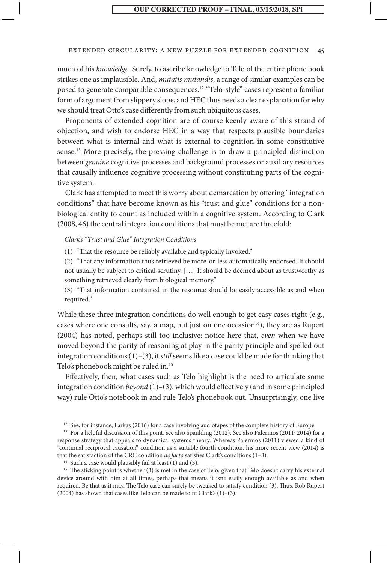#### extended circularity: a new puzzle for extended cognition 45

much of his *knowledge*. Surely, to ascribe knowledge to Telo of the entire phone book strikes one as implausible. And, *mutatis mutandis*, a range of similar examples can be posed to generate comparable consequences.12 "Telo-style" cases represent a familiar form of argument from slippery slope, and HEC thus needs a clear explanation for why we should treat Otto's case differently from such ubiquitous cases.

Proponents of extended cognition are of course keenly aware of this strand of objection, and wish to endorse HEC in a way that respects plausible boundaries between what is internal and what is external to cognition in some constitutive sense.13 More precisely, the pressing challenge is to draw a principled distinction between *genuine* cognitive processes and background processes or auxiliary resources that causally influence cognitive processing without constituting parts of the cognitive system.

Clark has attempted to meet this worry about demarcation by offering "integration conditions" that have become known as his "trust and glue" conditions for a nonbiological entity to count as included within a cognitive system. According to Clark (2008, 46) the central integration conditions that must be met are threefold:

#### *Clark's "Trust and Glue" Integration Conditions*

(1) "That the resource be reliably available and typically invoked."

(2) "That any information thus retrieved be more-or-less automatically endorsed. It should not usually be subject to critical scrutiny. [. . .] It should be deemed about as trustworthy as something retrieved clearly from biological memory."

(3) "That information contained in the resource should be easily accessible as and when required."

While these three integration conditions do well enough to get easy cases right (e.g., cases where one consults, say, a map, but just on one occasion $14$ ), they are as Rupert (2004) has noted, perhaps still too inclusive: notice here that, *even* when we have moved beyond the parity of reasoning at play in the parity principle and spelled out integration conditions (1)–(3), it *still* seems like a case could be made for thinking that Telo's phonebook might be ruled in.<sup>15</sup>

Effectively, then, what cases such as Telo highlight is the need to articulate some integration condition *beyond*  $(1)-(3)$ , which would effectively (and in some principled way) rule Otto's notebook in and rule Telo's phonebook out. Unsurprisingly, one live

<sup>12</sup> See, for instance, Farkas (2016) for a case involving audiotapes of the complete history of Europe.

<sup>13</sup> For a helpful discussion of this point, see also Spaulding (2012). See also Palermos (2011; 2014) for a response strategy that appeals to dynamical systems theory. Whereas Palermos (2011) viewed a kind of "continual reciprocal causation" condition as a suitable fourth condition, his more recent view (2014) is that the satisfaction of the CRC condition *de facto* satisfies Clark's conditions (1–3).

<sup>14</sup> Such a case would plausibly fail at least (1) and (3).

<sup>15</sup> The sticking point is whether (3) is met in the case of Telo: given that Telo doesn't carry his external device around with him at all times, perhaps that means it isn't easily enough available as and when required. Be that as it may. The Telo case can surely be tweaked to satisfy condition (3). Thus, Rob Rupert (2004) has shown that cases like Telo can be made to fit Clark's (1)–(3).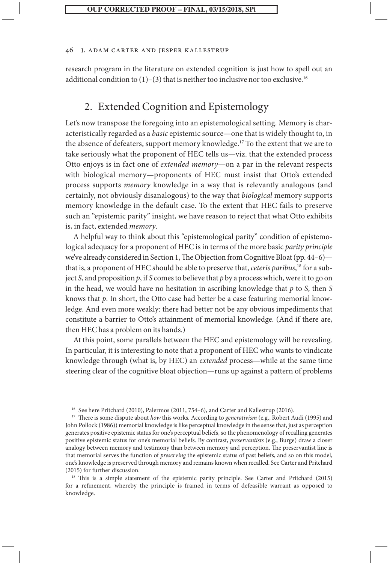#### 46 J. Adam Carter and Jesper Kallestrup

research program in the literature on extended cognition is just how to spell out an additional condition to  $(1)$ – $(3)$  that is neither too inclusive nor too exclusive.<sup>16</sup>

# 2. Extended Cognition and Epistemology

Let's now transpose the foregoing into an epistemological setting. Memory is characteristically regarded as a *basic* epistemic source—one that is widely thought to, in the absence of defeaters, support memory knowledge.<sup>17</sup> To the extent that we are to take seriously what the proponent of HEC tells us—viz. that the extended process Otto enjoys is in fact one of *extended memory*—on a par in the relevant respects with biological memory—proponents of HEC must insist that Otto's extended process supports *memory* knowledge in a way that is relevantly analogous (and certainly, not obviously disanalogous) to the way that *biological* memory supports memory knowledge in the default case. To the extent that HEC fails to preserve such an "epistemic parity" insight, we have reason to reject that what Otto exhibits is, in fact, extended *memory*.

A helpful way to think about this "epistemological parity" condition of epistemological adequacy for a proponent of HEC is in terms of the more basic *parity principle* we've already considered in Section 1, The Objection from Cognitive Bloat (pp. 44–6) that is, a proponent of HEC should be able to preserve that, *ceteris paribus*, 18 for a subject *S*, and proposition *p*, if *S* comes to believe that *p* by a process which, were it to go on in the head, we would have no hesitation in ascribing knowledge that *p* to *S*, then *S* knows that *p*. In short, the Otto case had better be a case featuring memorial knowledge. And even more weakly: there had better not be any obvious impediments that constitute a barrier to Otto's attainment of memorial knowledge. (And if there are, then HEC has a problem on its hands.)

At this point, some parallels between the HEC and epistemology will be revealing. In particular, it is interesting to note that a proponent of HEC who wants to vindicate knowledge through (what is, by HEC) an *extended* process—while at the same time steering clear of the cognitive bloat objection—runs up against a pattern of problems

<sup>18</sup> This is a simple statement of the epistemic parity principle. See Carter and Pritchard (2015) for a refinement, whereby the principle is framed in terms of defeasible warrant as opposed to knowledge.

<sup>16</sup> See here Pritchard (2010), Palermos (2011, 754–6), and Carter and Kallestrup (2016).

<sup>17</sup> There is some dispute about *how* this works. According to *generativism* (e.g., Robert Audi (1995) and John Pollock (1986)) memorial knowledge is like perceptual knowledge in the sense that, just as perception generates positive epistemic status for one's perceptual beliefs, so the phenomenology of recalling generates positive epistemic status for one's memorial beliefs. By contrast, *preservantists* (e.g., Burge) draw a closer analogy between memory and testimony than between memory and perception. The preservantist line is that memorial serves the function of *preserving* the epistemic status of past beliefs, and so on this model, one's knowledge is preserved through memory and remains known when recalled. See Carter and Pritchard (2015) for further discussion.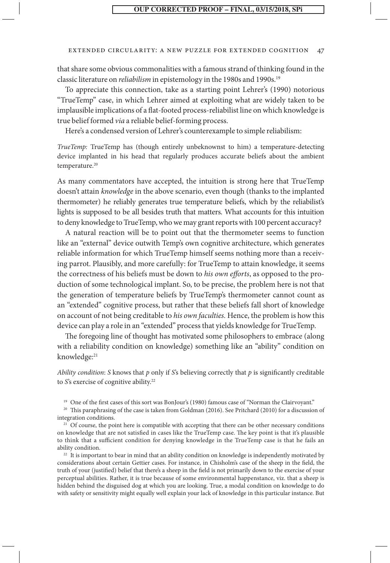#### extended circularity: a new puzzle for extended cognition 47

that share some obvious commonalities with a famous strand of thinking found in the classic literature on *reliabilism* in epistemology in the 1980s and 1990s.<sup>19</sup>

To appreciate this connection, take as a starting point Lehrer's (1990) notorious "TrueTemp" case, in which Lehrer aimed at exploiting what are widely taken to be implausible implications of a flat-footed process-reliabilist line on which knowledge is true belief formed *via* a reliable belief-forming process.

Here's a condensed version of Lehrer's counterexample to simple reliabilism:

*TrueTemp:* TrueTemp has (though entirely unbeknownst to him) a temperature-detecting device implanted in his head that regularly produces accurate beliefs about the ambient temperature.<sup>20</sup>

As many commentators have accepted, the intuition is strong here that TrueTemp doesn't attain *knowledge* in the above scenario, even though (thanks to the implanted thermometer) he reliably generates true temperature beliefs, which by the reliabilist's lights is supposed to be all besides truth that matters. What accounts for this intuition to deny knowledge to TrueTemp, who we may grant reports with 100 percent accuracy?

A natural reaction will be to point out that the thermometer seems to function like an "external" device outwith Temp's own cognitive architecture, which generates reliable information for which TrueTemp himself seems nothing more than a receiving parrot. Plausibly, and more carefully: for TrueTemp to attain knowledge, it seems the correctness of his beliefs must be down to *his own efforts*, as opposed to the production of some technological implant. So, to be precise, the problem here is not that the generation of temperature beliefs by TrueTemp's thermometer cannot count as an "extended" cognitive process, but rather that these beliefs fall short of knowledge on account of not being creditable to *his own faculties.* Hence, the problem is how this device can play a role in an "extended" process that yields knowledge for TrueTemp.

The foregoing line of thought has motivated some philosophers to embrace (along with a reliability condition on knowledge) something like an "ability" condition on knowledge:<sup>21</sup>

*Ability condition*: *S* knows that *p* only if *S*'s believing correctly that *p* is significantly creditable to *S*'s exercise of cognitive ability.<sup>22</sup>

<sup>19</sup> One of the first cases of this sort was BonJour's (1980) famous case of "Norman the Clairvoyant."

<sup>20</sup> This paraphrasing of the case is taken from Goldman (2016). See Pritchard (2010) for a discussion of integration conditions.

<sup>21</sup> Of course, the point here is compatible with accepting that there can be other necessary conditions on knowledge that are not satisfied in cases like the TrueTemp case. The key point is that it's plausible to think that a sufficient condition for denying knowledge in the TrueTemp case is that he fails an ability condition.

<sup>22</sup> It is important to bear in mind that an ability condition on knowledge is independently motivated by considerations about certain Gettier cases. For instance, in Chisholm's case of the sheep in the field, the truth of your (justified) belief that there's a sheep in the field is not primarily down to the exercise of your perceptual abilities. Rather, it is true because of some environmental happenstance, viz. that a sheep is hidden behind the disguised dog at which you are looking. True, a modal condition on knowledge to do with safety or sensitivity might equally well explain your lack of knowledge in this particular instance. But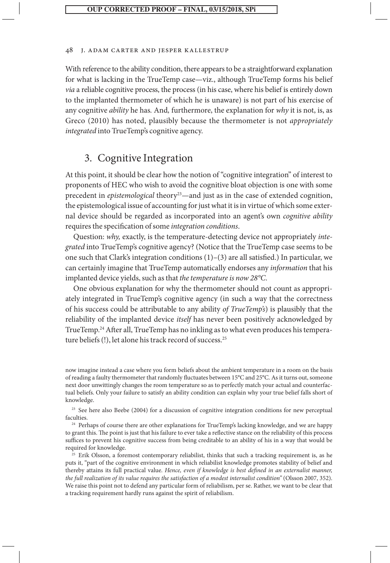With reference to the ability condition, there appears to be a straightforward explanation for what is lacking in the TrueTemp case—viz., although TrueTemp forms his belief *via* a reliable cognitive process, the process (in his case, where his belief is entirely down to the implanted thermometer of which he is unaware) is not part of his exercise of any cognitive *ability* he has*.* And*,* furthermore, the explanation for *why* it is not, is, as Greco (2010) has noted, plausibly because the thermometer is not *appropriately integrated* into TrueTemp's cognitive agency.

# 3. Cognitive Integration

At this point, it should be clear how the notion of "cognitive integration" of interest to proponents of HEC who wish to avoid the cognitive bloat objection is one with some precedent in *epistemological* theory<sup>23</sup>—and just as in the case of extended cognition, the epistemological issue of accounting for just what it is in virtue of which some external device should be regarded as incorporated into an agent's own *cognitive ability* requires the specification of some *integration conditions*.

Question: *why,* exactly, is the temperature-detecting device not appropriately *integrated* into TrueTemp's cognitive agency? (Notice that the TrueTemp case seems to be one such that Clark's integration conditions (1)–(3) are all satisfied.) In particular, we can certainly imagine that TrueTemp automatically endorses any *information* that his implanted device yields, such as that *the temperature is now 28°C*.

One obvious explanation for why the thermometer should not count as appropriately integrated in TrueTemp's cognitive agency (in such a way that the correctness of his success could be attributable to any ability *of TrueTemp's*) is plausibly that the reliability of the implanted device *itself* has never been positively acknowledged by TrueTemp.24 After all, TrueTemp has no inkling as to what even produces his temperature beliefs (!), let alone his track record of success.25

now imagine instead a case where you form beliefs about the ambient temperature in a room on the basis of reading a faulty thermometer that randomly fluctuates between 15°C and 25°C. As it turns out, someone next door unwittingly changes the room temperature so as to perfectly match your actual and counterfactual beliefs. Only your failure to satisfy an ability condition can explain why your true belief falls short of knowledge.

<sup>23</sup> See here also Beebe (2004) for a discussion of cognitive integration conditions for new perceptual faculties.

<sup>24</sup> Perhaps of course there are other explanations for TrueTemp's lacking knowledge, and we are happy to grant this. The point is just that his failure to ever take a reflective stance on the reliability of this process suffices to prevent his cognitive success from being creditable to an ability of his in a way that would be required for knowledge.

<sup>25</sup> Erik Olsson, a foremost contemporary reliabilist, thinks that such a tracking requirement is, as he puts it, "part of the cognitive environment in which reliabilist knowledge promotes stability of belief and thereby attains its full practical value. *Hence, even if knowledge is best defined in an externalist manner, the full realization of its value requires the satisfaction of a modest internalist condition"* (Olsson 2007, 352). We raise this point not to defend any particular form of reliabilism, per se. Rather, we want to be clear that a tracking requirement hardly runs against the spirit of reliabilism.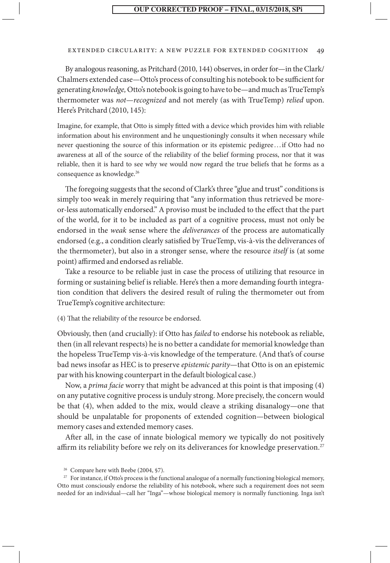#### extended circularity: a new puzzle for extended cognition 49

By analogous reasoning, as Pritchard (2010, 144) observes, in order for—in the Clark/ Chalmers extended case—Otto's process of consulting his notebook to be sufficient for generating *knowledge,* Otto's notebook is going to have to be—and much as TrueTemp's thermometer was *not*—*recognized* and not merely (as with TrueTemp) *relied* upon. Here's Pritchard (2010, 145):

Imagine, for example, that Otto is simply fitted with a device which provides him with reliable information about his environment and he unquestioningly consults it when necessary while never questioning the source of this information or its epistemic pedigree . . .if Otto had no awareness at all of the source of the reliability of the belief forming process, nor that it was reliable, then it is hard to see why we would now regard the true beliefs that he forms as a consequence as knowledge.26

The foregoing suggests that the second of Clark's three "glue and trust" conditions is simply too weak in merely requiring that "any information thus retrieved be moreor-less automatically endorsed." A proviso must be included to the effect that the part of the world, for it to be included as part of a cognitive process, must not only be endorsed in the *weak* sense where the *deliverances* of the process are automatically endorsed (e.g., a condition clearly satisfied by TrueTemp, vis-à-vis the deliverances of the thermometer), but also in a stronger sense, where the resource *itself* is (at some point) affirmed and endorsed as reliable.

Take a resource to be reliable just in case the process of utilizing that resource in forming or sustaining belief is reliable. Here's then a more demanding fourth integration condition that delivers the desired result of ruling the thermometer out from TrueTemp's cognitive architecture:

(4) That the reliability of the resource be endorsed.

Obviously, then (and crucially): if Otto has *failed* to endorse his notebook as reliable, then (in all relevant respects) he is no better a candidate for memorial knowledge than the hopeless TrueTemp vis-à-vis knowledge of the temperature. (And that's of course bad news insofar as HEC is to preserve *epistemic parity*—that Otto is on an epistemic par with his knowing counterpart in the default biological case.)

Now, a *prima facie* worry that might be advanced at this point is that imposing (4) on any putative cognitive process is unduly strong. More precisely, the concern would be that (4), when added to the mix, would cleave a striking disanalogy—one that should be unpalatable for proponents of extended cognition—between biological memory cases and extended memory cases.

After all, in the case of innate biological memory we typically do not positively affirm its reliability before we rely on its deliverances for knowledge preservation.<sup>27</sup>

<sup>&</sup>lt;sup>26</sup> Compare here with Beebe (2004, §7).

<sup>&</sup>lt;sup>27</sup> For instance, if Otto's process is the functional analogue of a normally functioning biological memory, Otto must consciously endorse the reliability of his notebook, where such a requirement does not seem needed for an individual—call her "Inga"—whose biological memory is normally functioning. Inga isn't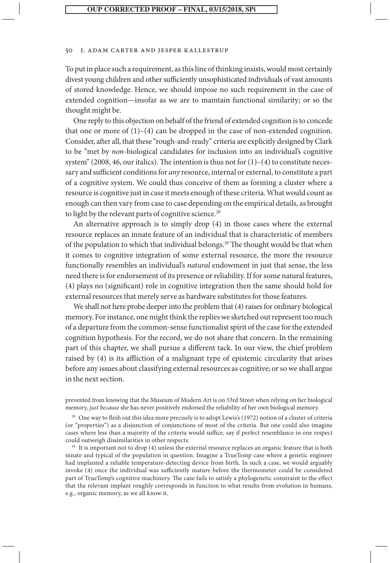#### 50 J. Adam Carter and Jesper Kallestrup

To put in place such a requirement, as this line of thinking insists, would most certainly divest young children and other sufficiently unsophisticated individuals of vast amounts of stored knowledge. Hence, we should impose no such requirement in the case of extended cognition—insofar as we are to maintain functional similarity; or so the thought might be.

One reply to this objection on behalf of the friend of extended cognition is to concede that one or more of  $(1)$ – $(4)$  can be dropped in the case of non-extended cognition. Consider, after all, that these "rough-and-ready" criteria are explicitly designed by Clark to be "met by *non*-biological candidates for inclusion into an individual's cognitive system" (2008, 46, our italics). The intention is thus not for  $(1)-(4)$  to constitute necessary and sufficient conditions for *any* resource, internal or external, to constitute a part of a cognitive system. We could thus conceive of them as forming a cluster where a resource is cognitive just in case it meets enough of these criteria. What would count as enough can then vary from case to case depending on the empirical details, as brought to light by the relevant parts of cognitive science.<sup>28</sup>

An alternative approach is to simply drop (4) in those cases where the external resource replaces an innate feature of an individual that is characteristic of members of the population to which that individual belongs.29 The thought would be that when it comes to cognitive integration of some external resource, the more the resource functionally resembles an individual's *natural* endowment in just that sense, the less need there is for endorsement of its presence or reliability. If for some natural features, (4) plays no (significant) role in cognitive integration then the same should hold for external resources that merely serve as hardware substitutes for those features.

We shall not here probe deeper into the problem that (4) raises for ordinary biological memory. For instance, one might think the replies we sketched out represent too much of a departure from the common-sense functionalist spirit of the case for the extended cognition hypothesis. For the record, we do not share that concern. In the remaining part of this chapter, we shall pursue a different tack. In our view, the chief problem raised by (4) is its affliction of a malignant type of epistemic circularity that arises before any issues about classifying external resources as cognitive; or so we shall argue in the next section.

prevented from knowing that the Museum of Modern Art is on 53rd Street when relying on her biological memory, *just because* she has never positively endorsed the reliability of her own biological memory.

<sup>28</sup> One way to flesh out this idea more precisely is to adopt Lewis's (1972) notion of a cluster of criteria (or "properties") as a disjunction of conjunctions of most of the criteria. But one could also imagine cases where less than a majority of the criteria would suffice, say if perfect resemblance in one respect could outweigh dissimilarities in other respects.

<sup>29</sup> It is important not to drop (4) unless the external resource replaces an organic feature that is both innate and typical of the population in question. Imagine a TrueTemp case where a genetic engineer had implanted a reliable temperature-detecting device from birth. In such a case, we would arguably invoke (4) once the individual was sufficiently mature before the thermometer could be considered part of TrueTemp's cognitive machinery. The case fails to satisfy a phylogenetic constraint to the effect that the relevant implant roughly corresponds in function to what results from evolution in humans, e.g., organic memory, as we all know it.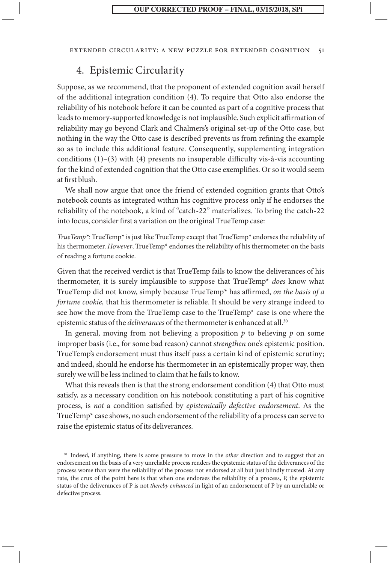#### extended circularity: a new puzzle for extended cognition 51

# 4. Epistemic Circularity

Suppose, as we recommend, that the proponent of extended cognition avail herself of the additional integration condition (4). To require that Otto also endorse the reliability of his notebook before it can be counted as part of a cognitive process that leads to memory-supported knowledge is not implausible. Such explicit affirmation of reliability may go beyond Clark and Chalmers's original set-up of the Otto case, but nothing in the way the Otto case is described prevents us from refining the example so as to include this additional feature. Consequently, supplementing integration conditions (1)–(3) with (4) presents no insuperable difficulty vis-à-vis accounting for the kind of extended cognition that the Otto case exemplifies. Or so it would seem at first blush.

We shall now argue that once the friend of extended cognition grants that Otto's notebook counts as integrated within his cognitive process only if he endorses the reliability of the notebook, a kind of "catch-22" materializes. To bring the catch-22 into focus, consider first a variation on the original TrueTemp case:

*TrueTemp\*:* TrueTemp\* is just like TrueTemp except that TrueTemp\* endorses the reliability of his thermometer. *However*, TrueTemp\* endorses the reliability of his thermometer on the basis of reading a fortune cookie.

Given that the received verdict is that TrueTemp fails to know the deliverances of his thermometer, it is surely implausible to suppose that TrueTemp\* *does* know what TrueTemp did not know, simply because TrueTemp\* has affirmed, *on the basis of a fortune cookie,* that his thermometer is reliable. It should be very strange indeed to see how the move from the TrueTemp case to the TrueTemp\* case is one where the epistemic status of the *deliverances* of the thermometer is enhanced at all.<sup>30</sup>

In general, moving from not believing a proposition  $p$  to believing  $p$  on some improper basis (i.e., for some bad reason) cannot *strengthen* one's epistemic position. TrueTemp's endorsement must thus itself pass a certain kind of epistemic scrutiny; and indeed, should he endorse his thermometer in an epistemically proper way, then surely we will be less inclined to claim that he fails to know.

What this reveals then is that the strong endorsement condition (4) that Otto must satisfy, as a necessary condition on his notebook constituting a part of his cognitive process, is *not* a condition satisfied by *epistemically defective endorsement*. As the TrueTemp\* case shows, no such endorsement of the reliability of a process can serve to raise the epistemic status of its deliverances.

<sup>&</sup>lt;sup>30</sup> Indeed, if anything, there is some pressure to move in the *other* direction and to suggest that an endorsement on the basis of a very unreliable process renders the epistemic status of the deliverances of the process worse than were the reliability of the process not endorsed at all but just blindly trusted. At any rate, the crux of the point here is that when one endorses the reliability of a process, P, the epistemic status of the deliverances of P is not *thereby enhanced* in light of an endorsement of P by an unreliable or defective process.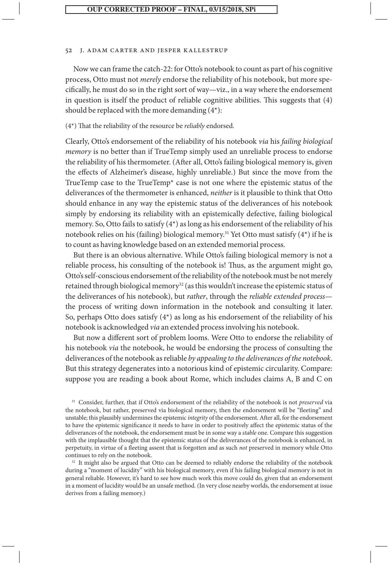Now we can frame the catch-22: for Otto's notebook to count as part of his cognitive process, Otto must not *merely* endorse the reliability of his notebook, but more specifically, he must do so in the right sort of way—viz., in a way where the endorsement in question is itself the product of reliable cognitive abilities. This suggests that (4) should be replaced with the more demanding  $(4^*)$ :

(4\*) That the reliability of the resource be *reliably* endorsed.

Clearly, Otto's endorsement of the reliability of his notebook *via* his *failing biological memory* is no better than if TrueTemp simply used an unreliable process to endorse the reliability of his thermometer. (After all, Otto's failing biological memory is, given the effects of Alzheimer's disease, highly unreliable.) But since the move from the TrueTemp case to the TrueTemp\* case is not one where the epistemic status of the deliverances of the thermometer is enhanced, *neither* is it plausible to think that Otto should enhance in any way the epistemic status of the deliverances of his notebook simply by endorsing its reliability with an epistemically defective, failing biological memory. So, Otto fails to satisfy (4\*) as long as his endorsement of the reliability of his notebook relies on his (failing) biological memory.31 Yet Otto must satisfy (4\*) if he is to count as having knowledge based on an extended memorial process.

But there is an obvious alternative. While Otto's failing biological memory is not a reliable process, his consulting of the notebook is! Thus, as the argument might go, Otto's self-conscious endorsement of the reliability of the notebook must be not merely retained through biological memory<sup>32</sup> (as this wouldn't increase the epistemic status of the deliverances of his notebook), but *rather*, through the *reliable extended process* the process of writing down information in the notebook and consulting it later. So, perhaps Otto does satisfy  $(4^*)$  as long as his endorsement of the reliability of his notebook is acknowledged *via* an extended process involving his notebook.

But now a different sort of problem looms. Were Otto to endorse the reliability of his notebook *via* the notebook, he would be endorsing the process of consulting the deliverances of the notebook as reliable *by appealing to the deliverances of the notebook*. But this strategy degenerates into a notorious kind of epistemic circularity. Compare: suppose you are reading a book about Rome, which includes claims A, B and C on

<sup>31</sup> Consider, further, that if Otto's endorsement of the reliability of the notebook is not *preserved* via the notebook, but rather, preserved via biological memory, then the endorsement will be "fleeting" and unstable; this plausibly undermines the epistemic *integrity* of the endorsement. After all, for the endorsement to have the epistemic significance it needs to have in order to positively affect the epistemic status of the deliverances of the notebook, the endorsement must be in some way a *stable* one. Compare this suggestion with the implausible thought that the epistemic status of the deliverances of the notebook is enhanced, in perpetuity, in virtue of a fleeting assent that is forgotten and as such *not* preserved in memory while Otto continues to rely on the notebook.

<sup>32</sup> It might also be argued that Otto can be deemed to reliably endorse the reliability of the notebook during a "moment of lucidity" with his biological memory, even if his failing biological memory is not in general reliable. However, it's hard to see how much work this move could do, given that an endorsement in a moment of lucidity would be an unsafe method. (In very close nearby worlds, the endorsement at issue derives from a failing memory.)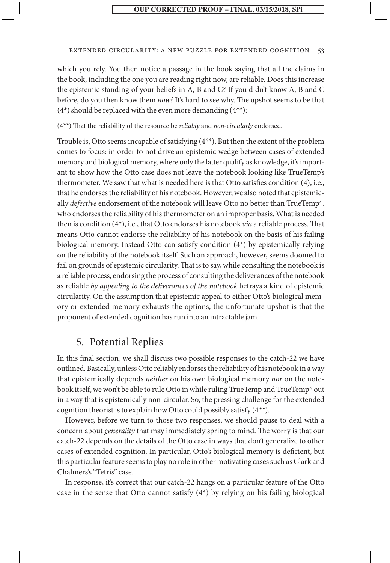#### extended circularity: a new puzzle for extended cognition 53

which you rely. You then notice a passage in the book saying that all the claims in the book, including the one you are reading right now, are reliable. Does this increase the epistemic standing of your beliefs in A, B and C? If you didn't know A, B and C before, do you then know them *now?* It's hard to see why. The upshot seems to be that  $(4^*)$  should be replaced with the even more demanding  $(4^{**})$ :

(4\*\*) That the reliability of the resource be *reliably* and *non-circularly* endorsed.

Trouble is, Otto seems incapable of satisfying (4\*\*). But then the extent of the problem comes to focus: in order to not drive an epistemic wedge between cases of extended memory and biological memory, where only the latter qualify as knowledge, it's important to show how the Otto case does not leave the notebook looking like TrueTemp's thermometer. We saw that what is needed here is that Otto satisfies condition (4), i.e., that he endorses the reliability of his notebook. However, we also noted that epistemically *defective* endorsement of the notebook will leave Otto no better than TrueTemp\*, who endorses the reliability of his thermometer on an improper basis. What is needed then is condition (4\*), i.e., that Otto endorses his notebook *via* a reliable process. That means Otto cannot endorse the reliability of his notebook on the basis of his failing biological memory. Instead Otto can satisfy condition (4\*) by epistemically relying on the reliability of the notebook itself. Such an approach, however, seems doomed to fail on grounds of epistemic circularity. That is to say, while consulting the notebook is a reliable process, endorsing the process of consulting the deliverances of the notebook as reliable *by appealing to the deliverances of the notebook* betrays a kind of epistemic circularity. On the assumption that epistemic appeal to either Otto's biological memory or extended memory exhausts the options, the unfortunate upshot is that the proponent of extended cognition has run into an intractable jam.

# 5. Potential Replies

In this final section, we shall discuss two possible responses to the catch-22 we have outlined. Basically, unless Otto reliably endorses the reliability of his notebook in a way that epistemically depends *neither* on his own biological memory *nor* on the notebook itself, we won't be able to rule Otto in while ruling TrueTemp and TrueTemp\* out in a way that is epistemically non-circular. So, the pressing challenge for the extended cognition theorist is to explain how Otto could possibly satisfy (4\*\*).

However, before we turn to those two responses, we should pause to deal with a concern about *generality* that may immediately spring to mind. The worry is that our catch-22 depends on the details of the Otto case in ways that don't generalize to other cases of extended cognition. In particular, Otto's biological memory is deficient, but this particular feature seems to play no role in other motivating cases such as Clark and Chalmers's "Tetris" case.

In response, it's correct that our catch-22 hangs on a particular feature of the Otto case in the sense that Otto cannot satisfy (4\*) by relying on his failing biological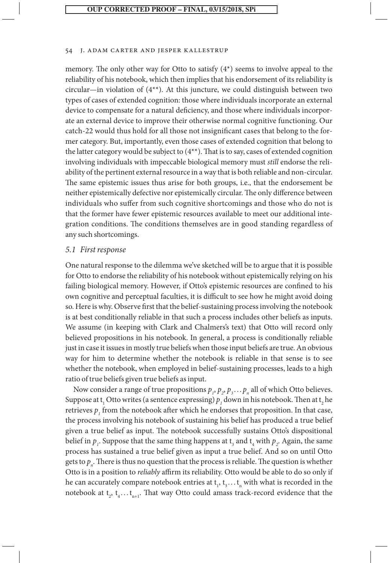memory. The only other way for Otto to satisfy (4\*) seems to involve appeal to the reliability of his notebook, which then implies that his endorsement of its reliability is circular—in violation of  $(4^{**})$ . At this juncture, we could distinguish between two types of cases of extended cognition: those where individuals incorporate an external device to compensate for a natural deficiency, and those where individuals incorporate an external device to improve their otherwise normal cognitive functioning. Our catch-22 would thus hold for all those not insignificant cases that belong to the former category. But, importantly, even those cases of extended cognition that belong to the latter category would be subject to (4\*\*). That is to say, cases of extended cognition involving individuals with impeccable biological memory must *still* endorse the reliability of the pertinent external resource in a way that is both reliable and non-circular. The same epistemic issues thus arise for both groups, i.e., that the endorsement be neither epistemically defective nor epistemically circular. The only difference between individuals who suffer from such cognitive shortcomings and those who do not is that the former have fewer epistemic resources available to meet our additional integration conditions. The conditions themselves are in good standing regardless of any such shortcomings.

#### *5.1 First response*

One natural response to the dilemma we've sketched will be to argue that it is possible for Otto to endorse the reliability of his notebook without epistemically relying on his failing biological memory. However, if Otto's epistemic resources are confined to his own cognitive and perceptual faculties, it is difficult to see how he might avoid doing so. Here is why. Observe first that the belief-sustaining process involving the notebook is at best conditionally reliable in that such a process includes other beliefs as inputs. We assume (in keeping with Clark and Chalmers's text) that Otto will record only believed propositions in his notebook. In general, a process is conditionally reliable just in case it issues in mostly true beliefs when those input beliefs are true. An obvious way for him to determine whether the notebook is reliable in that sense is to see whether the notebook, when employed in belief-sustaining processes, leads to a high ratio of true beliefs given true beliefs as input.

Now consider a range of true propositions  $p_1$ ,  $p_2$ ,  $p_3$ ...,  $p_n$  all of which Otto believes. Suppose at t<sub>1</sub> Otto writes (a sentence expressing)  $p_1$  down in his notebook. Then at t<sub>2</sub> he retrieves  $p_{_I}$  from the notebook after which he endorses that proposition. In that case, the process involving his notebook of sustaining his belief has produced a true belief given a true belief as input. The notebook successfully sustains Otto's dispositional belief in  $p_i$ . Suppose that the same thing happens at  $t_3$  and  $t_4$  with  $p_2$ . Again, the same process has sustained a true belief given as input a true belief. And so on until Otto gets to  $p_{n}$ . There is thus no question that the process is reliable. The question is whether Otto is in a position to *reliably* affirm its reliability. Otto would be able to do so only if he can accurately compare notebook entries at  $t_1, t_3...t_n$  with what is recorded in the notebook at  $t_2$ ,  $t_4 \dots t_{n+1}$ . That way Otto could amass track-record evidence that the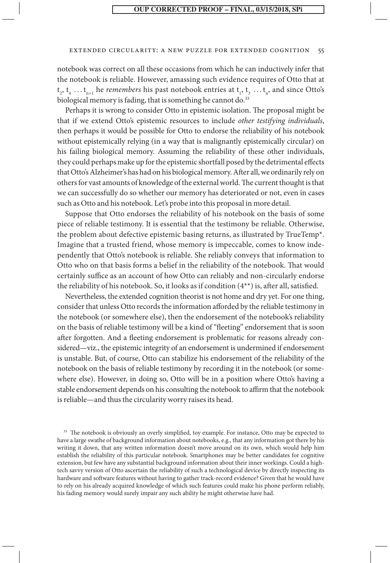#### extended circularity: a new puzzle for extended cognition 55

notebook was correct on all these occasions from which he can inductively infer that the notebook is reliable. However, amassing such evidence requires of Otto that at  $t_2, t_4, \ldots t_{n+1}$  he *remembers* his past notebook entries at  $t_1, t_3, \ldots t_n$ , and since Otto's biological memory is fading, that is something he cannot do.<sup>33</sup>

Perhaps it is wrong to consider Otto in epistemic isolation. The proposal might be that if we extend Otto's epistemic resources to include *other testifying individuals*, then perhaps it would be possible for Otto to endorse the reliability of his notebook without epistemically relying (in a way that is malignantly epistemically circular) on his failing biological memory. Assuming the reliability of these other individuals, they could perhaps make up for the epistemic shortfall posed by the detrimental effects that Otto's Alzheimer's has had on his biological memory. After all, we ordinarily rely on others for vast amounts of knowledge of the external world. The current thought is that we can successfully do so whether our memory has deteriorated or not, even in cases such as Otto and his notebook. Let's probe into this proposal in more detail.

Suppose that Otto endorses the reliability of his notebook on the basis of some piece of reliable testimony. It is essential that the testimony be reliable. Otherwise, the problem about defective epistemic basing returns, as illustrated by TrueTemp\*. Imagine that a trusted friend, whose memory is impeccable, comes to know independently that Otto's notebook is reliable. She reliably conveys that information to Otto who on that basis forms a belief in the reliability of the notebook. That would certainly suffice as an account of how Otto can reliably and non-circularly endorse the reliability of his notebook. So, it looks as if condition (4\*\*) is, after all, satisfied.

Nevertheless, the extended cognition theorist is not home and dry yet. For one thing, consider that unless Otto records the information afforded by the reliable testimony in the notebook (or somewhere else), then the endorsement of the notebook's reliability on the basis of reliable testimony will be a kind of "fleeting" endorsement that is soon after forgotten. And a fleeting endorsement is problematic for reasons already considered—viz., the epistemic integrity of an endorsement is undermined if endorsement is unstable. But, of course, Otto can stabilize his endorsement of the reliability of the notebook on the basis of reliable testimony by recording it in the notebook (or somewhere else). However, in doing so, Otto will be in a position where Otto's having a stable endorsement depends on his consulting the notebook to affirm that the notebook is reliable—and thus the circularity worry raises its head.

<sup>33</sup> The notebook is obviously an overly simplified, toy example. For instance, Otto may be expected to have a large swathe of background information about notebooks, e.g., that any information got there by his writing it down, that any written information doesn't move around on its own, which would help him establish the reliability of this particular notebook. Smartphones may be better candidates for cognitive extension, but few have any substantial background information about their inner workings. Could a hightech savvy version of Otto ascertain the reliability of such a technological device by directly inspecting its hardware and software features without having to gather track-record evidence? Given that he would have to rely on his already acquired knowledge of which such features could make his phone perform reliably, his fading memory would surely impair any such ability he might otherwise have had.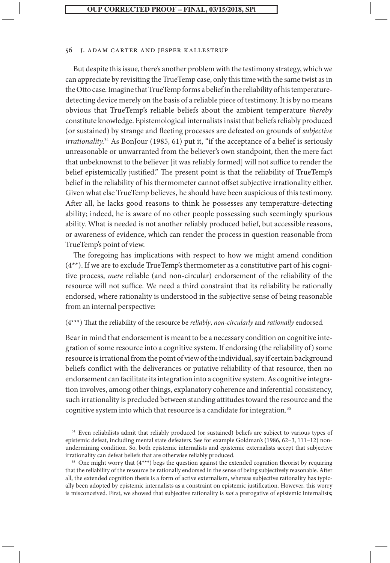But despite this issue, there's another problem with the testimony strategy, which we can appreciate by revisiting the TrueTemp case, only this time with the same twist as in the Otto case. Imagine that TrueTemp forms a belief in the reliability of his temperaturedetecting device merely on the basis of a reliable piece of testimony. It is by no means obvious that TrueTemp's reliable beliefs about the ambient temperature *thereby* constitute knowledge. Epistemological internalists insist that beliefs reliably produced (or sustained) by strange and fleeting processes are defeated on grounds of *subjective irrationality.*<sup>34</sup> As BonJour (1985, 61) put it, "if the acceptance of a belief is seriously unreasonable or unwarranted from the believer's own standpoint, then the mere fact that unbeknownst to the believer [it was reliably formed] will not suffice to render the belief epistemically justified." The present point is that the reliability of TrueTemp's belief in the reliability of his thermometer cannot offset subjective irrationality either. Given what else TrueTemp believes, he should have been suspicious of this testimony. After all, he lacks good reasons to think he possesses any temperature-detecting ability; indeed, he is aware of no other people possessing such seemingly spurious ability. What is needed is not another reliably produced belief, but accessible reasons, or awareness of evidence, which can render the process in question reasonable from TrueTemp's point of view.

The foregoing has implications with respect to how we might amend condition (4\*\*). If we are to exclude TrueTemp's thermometer as a constitutive part of his cognitive process, *mere* reliable (and non-circular) endorsement of the reliability of the resource will not suffice. We need a third constraint that its reliability be rationally endorsed, where rationality is understood in the subjective sense of being reasonable from an internal perspective:

#### (4\*\*\*) That the reliability of the resource be *reliably*, *non-circularly* and *rationally* endorsed.

Bear in mind that endorsement is meant to be a necessary condition on cognitive integration of some resource into a cognitive system. If endorsing (the reliability of) some resource is irrational from the point of view of the individual, say if certain background beliefs conflict with the deliverances or putative reliability of that resource, then no endorsement can facilitate its integration into a cognitive system. As cognitive integration involves, among other things, explanatory coherence and inferential consistency, such irrationality is precluded between standing attitudes toward the resource and the cognitive system into which that resource is a candidate for integration.<sup>35</sup>

<sup>34</sup> Even reliabilists admit that reliably produced (or sustained) beliefs are subject to various types of epistemic defeat, including mental state defeaters. See for example Goldman's (1986, 62–3, 111–12) nonundermining condition. So, both epistemic internalists and epistemic externalists accept that subjective irrationality can defeat beliefs that are otherwise reliably produced.

<sup>35</sup> One might worry that (4\*\*\*) begs the question against the extended cognition theorist by requiring that the reliability of the resource be rationally endorsed in the sense of being subjectively reasonable. After all, the extended cognition thesis is a form of active externalism, whereas subjective rationality has typically been adopted by epistemic internalists as a constraint on epistemic justification. However, this worry is misconceived. First, we showed that subjective rationality is *not* a prerogative of epistemic internalists;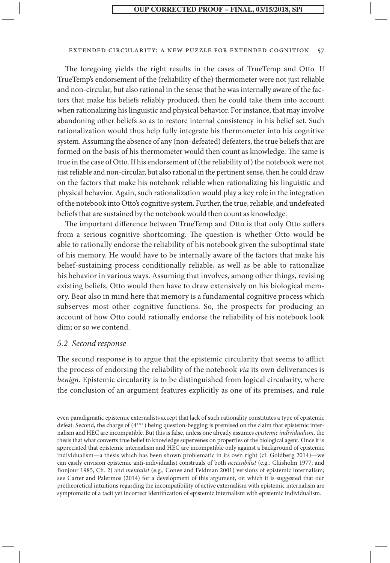#### extended circularity: a new puzzle for extended cognition 57

The foregoing yields the right results in the cases of TrueTemp and Otto. If TrueTemp's endorsement of the (reliability of the) thermometer were not just reliable and non-circular, but also rational in the sense that he was internally aware of the factors that make his beliefs reliably produced, then he could take them into account when rationalizing his linguistic and physical behavior. For instance, that may involve abandoning other beliefs so as to restore internal consistency in his belief set. Such rationalization would thus help fully integrate his thermometer into his cognitive system. Assuming the absence of any (non-defeated) defeaters, the true beliefs that are formed on the basis of his thermometer would then count as knowledge. The same is true in the case of Otto. If his endorsement of (the reliability of) the notebook were not just reliable and non-circular, but also rational in the pertinent sense, then he could draw on the factors that make his notebook reliable when rationalizing his linguistic and physical behavior. Again, such rationalization would play a key role in the integration of the notebook into Otto's cognitive system. Further, the true, reliable, and undefeated beliefs that are sustained by the notebook would then count as knowledge.

The important difference between TrueTemp and Otto is that only Otto suffers from a serious cognitive shortcoming. The question is whether Otto would be able to rationally endorse the reliability of his notebook given the suboptimal state of his memory. He would have to be internally aware of the factors that make his belief-sustaining process conditionally reliable, as well as be able to rationalize his behavior in various ways. Assuming that involves, among other things, revising existing beliefs, Otto would then have to draw extensively on his biological memory. Bear also in mind here that memory is a fundamental cognitive process which subserves most other cognitive functions. So, the prospects for producing an account of how Otto could rationally endorse the reliability of his notebook look dim; or so we contend.

#### *5.2 Second response*

The second response is to argue that the epistemic circularity that seems to afflict the process of endorsing the reliability of the notebook *via* its own deliverances is *benign*. Epistemic circularity is to be distinguished from logical circularity, where the conclusion of an argument features explicitly as one of its premises, and rule

even paradigmatic epistemic externalists accept that lack of such rationality constitutes a type of epistemic defeat. Second, the charge of (4\*\*\*) being question-begging is premised on the claim that epistemic internalism and HEC are incompatible. But this is false, unless one already assumes *epistemic individualism*, the thesis that what converts true belief to knowledge supervenes on properties of the biological agent. Once it is appreciated that epistemic internalism and HEC are incompatible only against a background of epistemic individualism—a thesis which has been shown problematic in its own right (cf. Goldberg 2014)—we can easily envision epistemic anti-individualist construals of both *accessibilist* (e.g., Chisholm 1977; and Bonjour 1985, Ch. 2) and *mentalist* (e.g., Conee and Feldman 2001) versions of epistemic internalism; see Carter and Palermos (2014) for a development of this argument, on which it is suggested that our pretheoretical intuitions regarding the incompatibility of active externalism with epistemic internalism are symptomatic of a tacit yet incorrect identification of epistemic internalism with epistemic individualism.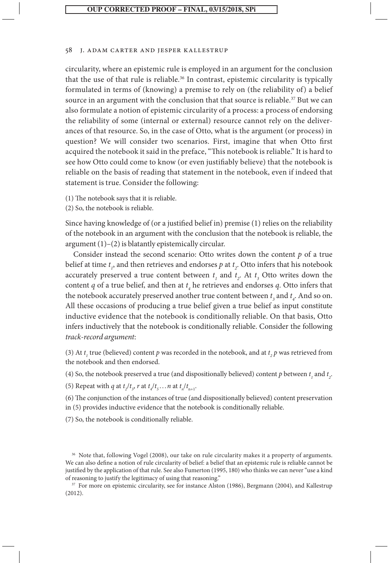circularity, where an epistemic rule is employed in an argument for the conclusion that the use of that rule is reliable.<sup>36</sup> In contrast, epistemic circularity is typically formulated in terms of (knowing) a premise to rely on (the reliability of) a belief source in an argument with the conclusion that that source is reliable.<sup>37</sup> But we can also formulate a notion of epistemic circularity of a process: a process of endorsing the reliability of some (internal or external) resource cannot rely on the deliverances of that resource. So, in the case of Otto, what is the argument (or process) in question? We will consider two scenarios. First, imagine that when Otto first acquired the notebook it said in the preface, "This notebook is reliable." It is hard to see how Otto could come to know (or even justifiably believe) that the notebook is reliable on the basis of reading that statement in the notebook, even if indeed that statement is true. Consider the following:

(1) The notebook says that it is reliable.

(2) So, the notebook is reliable.

Since having knowledge of (or a justified belief in) premise (1) relies on the reliability of the notebook in an argument with the conclusion that the notebook is reliable, the argument (1)–(2) is blatantly epistemically circular.

Consider instead the second scenario: Otto writes down the content *p* of a true belief at time  $t_i$ , and then retrieves and endorses  $p$  at  $t_i$ . Otto infers that his notebook accurately preserved a true content between  $t_1$  and  $t_2$ . At  $t_3$  Otto writes down the content *q* of a true belief, and then at  $t_4$  he retrieves and endorses *q*. Otto infers that the notebook accurately preserved another true content between  $t_3$  and  $t_4$ . And so on. All these occasions of producing a true belief given a true belief as input constitute inductive evidence that the notebook is conditionally reliable. On that basis, Otto infers inductively that the notebook is conditionally reliable. Consider the following *track-record argument*:

(3) At  $t_1$  true (believed) content  $p$  was recorded in the notebook, and at  $t_2$   $p$  was retrieved from the notebook and then endorsed.

(4) So, the notebook preserved a true (and dispositionally believed) content *p* between  $t_1$  and  $t_2$ .

(5) Repeat with *q* at  $t_2/t_3$ , *r* at  $t_4/t_5$ ... *n* at  $t_n/t_{n+1}$ .

(6) The conjunction of the instances of true (and dispositionally believed) content preservation in (5) provides inductive evidence that the notebook is conditionally reliable.

(7) So, the notebook is conditionally reliable.

<sup>37</sup> For more on epistemic circularity, see for instance Alston (1986), Bergmann (2004), and Kallestrup (2012).

<sup>&</sup>lt;sup>36</sup> Note that, following Vogel (2008), our take on rule circularity makes it a property of arguments. We can also define a notion of rule circularity of belief: a belief that an epistemic rule is reliable cannot be justified by the application of that rule. See also Fumerton (1995, 180) who thinks we can never "use a kind of reasoning to justify the legitimacy of using that reasoning."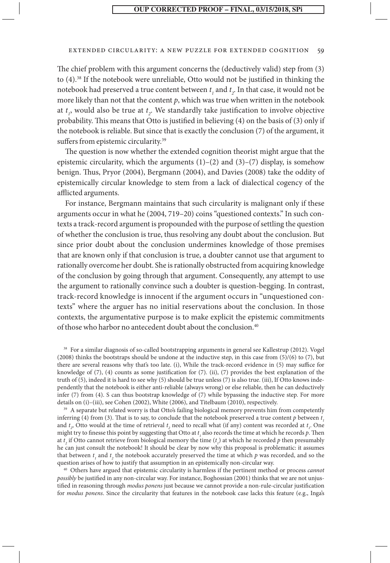#### extended circularity: a new puzzle for extended cognition 59

The chief problem with this argument concerns the (deductively valid) step from (3) to (4).38 If the notebook were unreliable, Otto would not be justified in thinking the notebook had preserved a true content between  $t<sub>1</sub>$  and  $t<sub>2</sub>$ . In that case, it would not be more likely than not that the content  $p$ , which was true when written in the notebook at *t 1* , would also be true at *t 2* . We standardly take justification to involve objective probability. This means that Otto is justified in believing (4) on the basis of (3) only if the notebook is reliable. But since that is exactly the conclusion (7) of the argument, it suffers from epistemic circularity.<sup>39</sup>

The question is now whether the extended cognition theorist might argue that the epistemic circularity, which the arguments  $(1)-(2)$  and  $(3)-(7)$  display, is somehow benign. Thus, Pryor (2004), Bergmann (2004), and Davies (2008) take the oddity of epistemically circular knowledge to stem from a lack of dialectical cogency of the afflicted arguments.

For instance, Bergmann maintains that such circularity is malignant only if these arguments occur in what he (2004, 719–20) coins "questioned contexts." In such contexts a track-record argument is propounded with the purpose of settling the question of whether the conclusion is true, thus resolving any doubt about the conclusion. But since prior doubt about the conclusion undermines knowledge of those premises that are known only if that conclusion is true, a doubter cannot use that argument to rationally overcome her doubt. She is rationally obstructed from acquiring knowledge of the conclusion by going through that argument. Consequently, any attempt to use the argument to rationally convince such a doubter is question-begging. In contrast, track-record knowledge is innocent if the argument occurs in "unquestioned contexts" where the arguer has no initial reservations about the conclusion. In those contexts, the argumentative purpose is to make explicit the epistemic commitments of those who harbor no antecedent doubt about the conclusion.<sup>40</sup>

<sup>38</sup> For a similar diagnosis of so-called bootstrapping arguments in general see Kallestrup (2012). Vogel (2008) thinks the bootstraps should be undone at the inductive step, in this case from (5)/(6) to (7), but there are several reasons why that's too late. (i), While the track-record evidence in (5) may suffice for knowledge of (7), (4) counts as some justification for (7). (ii), (7) provides the best explanation of the truth of (5), indeed it is hard to see why (5) should be true unless (7) is also true. (iii), If Otto knows independently that the notebook is either anti-reliable (always wrong) or else reliable, then he can deductively infer (7) from (4). S can thus bootstrap knowledge of (7) while bypassing the inductive step. For more details on (i)–(iii), see Cohen (2002), White (2006), and Titelbaum (2010), respectively.

<sup>39</sup> A separate but related worry is that Otto's failing biological memory prevents him from competently inferring (4) from (3). That is to say, to conclude that the notebook preserved a true content  $p$  between  $t_{\parallel}$ and  $t_2$ , Otto would at the time of retrieval  $t_2$  need to recall what (if any) content was recorded at  $t_1$ . One might try to finesse this point by suggesting that Otto at  $t_1$  also records the time at which he records  $p$ . Then at  $t_2$  if Otto cannot retrieve from biological memory the time  $(t_1)$  at which he recorded  $p$  then presumably he can just consult the notebook! It should be clear by now why this proposal is problematic: it assumes that between  $t_1$  and  $t_2$  the notebook accurately preserved the time at which  $p$  was recorded, and so the question arises of how to justify that assumption in an epistemically non-circular way.

<sup>40</sup> Others have argued that epistemic circularity is harmless if the pertinent method or process *cannot possibly* be justified in any non-circular way. For instance, Boghossian (2001) thinks that we are not unjustified in reasoning through *modus ponens* just because we cannot provide a non-rule-circular justification for *modus ponens*. Since the circularity that features in the notebook case lacks this feature (e.g., Inga's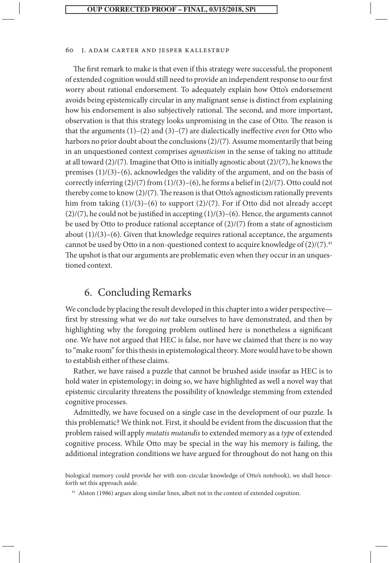The first remark to make is that even if this strategy were successful, the proponent of extended cognition would still need to provide an independent response to our first worry about rational endorsement. To adequately explain how Otto's endorsement avoids being epistemically circular in any malignant sense is distinct from explaining how his endorsement is also subjectively rational. The second, and more important, observation is that this strategy looks unpromising in the case of Otto. The reason is that the arguments (1)–(2) and (3)–(7) are dialectically ineffective *even* for Otto who harbors no prior doubt about the conclusions (2)/(7). Assume momentarily that being in an unquestioned context comprises *agnosticism* in the sense of taking no attitude at all toward (2)/(7). Imagine that Otto is initially agnostic about (2)/(7), he knows the premises (1)/(3)–(6), acknowledges the validity of the argument, and on the basis of correctly inferring  $(2)/(7)$  from  $(1)/(3)$ – $(6)$ , he forms a belief in  $(2)/(7)$ . Otto could not thereby come to know (2)/(7). The reason is that Otto's agnosticism rationally prevents him from taking  $(1)/(3)$ – $(6)$  to support  $(2)/(7)$ . For if Otto did not already accept  $(2)/(7)$ , he could not be justified in accepting  $(1)/(3)$ – $(6)$ . Hence, the arguments cannot be used by Otto to produce rational acceptance of  $(2)/(7)$  from a state of agnosticism about  $(1)/(3)$ – $(6)$ . Given that knowledge requires rational acceptance, the arguments cannot be used by Otto in a non-questioned context to acquire knowledge of  $(2)/(7)^{41}$ The upshot is that our arguments are problematic even when they occur in an unquestioned context.

# 6. Concluding Remarks

We conclude by placing the result developed in this chapter into a wider perspective first by stressing what we do *not* take ourselves to have demonstrated, and then by highlighting why the foregoing problem outlined here is nonetheless a significant one. We have not argued that HEC is false, nor have we claimed that there is no way to "make room" for this thesis in epistemological theory. More would have to be shown to establish either of these claims.

Rather, we have raised a puzzle that cannot be brushed aside insofar as HEC is to hold water in epistemology; in doing so, we have highlighted as well a novel way that epistemic circularity threatens the possibility of knowledge stemming from extended cognitive processes.

Admittedly, we have focused on a single case in the development of our puzzle. Is this problematic? We think not. First, it should be evident from the discussion that the problem raised will apply *mutatis mutandis* to extended memory as a *type* of extended cognitive process. While Otto may be special in the way his memory is failing, the additional integration conditions we have argued for throughout do not hang on this

biological memory could provide her with non-circular knowledge of Otto's notebook), we shall henceforth set this approach aside.

<sup>&</sup>lt;sup>41</sup> Alston (1986) argues along similar lines, albeit not in the context of extended cognition.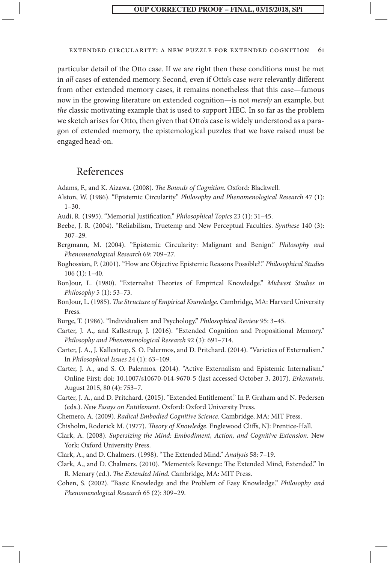#### extended circularity: a new puzzle for extended cognition 61

particular detail of the Otto case. If we are right then these conditions must be met in *all* cases of extended memory. Second, even if Otto's case *were* relevantly different from other extended memory cases, it remains nonetheless that this case—famous now in the growing literature on extended cognition—is not *merely* an example, but *the* classic motivating example that is used to support HEC. In so far as the problem we sketch arises for Otto, then given that Otto's case is widely understood as a paragon of extended memory, the epistemological puzzles that we have raised must be engaged head-on.

### References

Adams, F., and K. Aizawa. (2008). *The Bounds of Cognition.* Oxford: Blackwell.

- Alston, W. (1986). "Epistemic Circularity." *Philosophy and Phenomenological Research* 47 (1): 1–30.
- Audi, R. (1995). "Memorial Justification." *Philosophical Topics* 23 (1): 31–45.
- Beebe, J. R. (2004). "Reliabilism, Truetemp and New Perceptual Faculties. *Synthese* 140 (3): 307–29.
- Bergmann, M. (2004). "Epistemic Circularity: Malignant and Benign." *Philosophy and Phenomenological Research* 69: 709–27.
- Boghossian, P. (2001). "How are Objective Epistemic Reasons Possible?." *Philosophical Studies* 106 (1): 1–40.
- BonJour, L. (1980). "Externalist Theories of Empirical Knowledge." *Midwest Studies in Philosophy* 5 (1): 53–73.
- BonJour, L. (1985). *The Structure of Empirical Knowledge.* Cambridge, MA: Harvard University Press.
- Burge, T. (1986). "Individualism and Psychology." *Philosophical Review* 95: 3–45.
- Carter, J. A., and Kallestrup, J. (2016). "Extended Cognition and Propositional Memory." *Philosophy and Phenomenological Research* 92 (3): 691–714.
- Carter, J. A., J. Kallestrup, S. O. Palermos, and D. Pritchard. (2014). "Varieties of Externalism." In *Philosophical Issues* 24 (1): 63–109.
- Carter, J. A., and S. O. Palermos. (2014). "Active Externalism and Epistemic Internalism." Online First: doi: 10.1007/s10670-014-9670-5 (last accessed October 3, 2017). *Erkenntnis.* August 2015, 80 (4): 753–7.
- Carter, J. A., and D. Pritchard. (2015). "Extended Entitlement." In P. Graham and N. Pedersen (eds.). *New Essays on Entitlement*. Oxford: Oxford University Press.
- Chemero, A. (2009). *Radical Embodied Cognitive Science*. Cambridge, MA: MIT Press.
- Chisholm, Roderick M. (1977). *Theory of Knowledge*. Englewood Cliffs, NJ: Prentice-Hall.
- Clark, A. (2008). *Supersizing the Mind: Embodiment, Action, and Cognitive Extension.* New York: Oxford University Press.
- Clark, A., and D. Chalmers. (1998). "The Extended Mind." *Analysis* 58: 7–19.
- Clark, A., and D. Chalmers. (2010). "Memento's Revenge: The Extended Mind, Extended." In R. Menary (ed.). *The Extended Mind.* Cambridge, MA: MIT Press.
- Cohen, S. (2002). "Basic Knowledge and the Problem of Easy Knowledge." *Philosophy and Phenomenological Research* 65 (2): 309–29.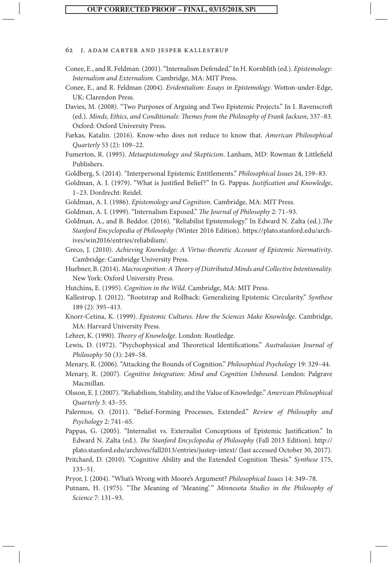#### **J. ADAM CARTER AND JESPER KALLESTRUP**

- Conee, E., and R. Feldman. (2001). "Internalism Defended." In H. Kornblith (ed.). *Epistemology: Internalism and Externalism.* Cambridge, MA: MIT Press.
- Conee, E., and R. Feldman (2004). *Evidentialism: Essays in Epistemology*. Wotton-under-Edge, UK: Clarendon Press.
- Davies, M. (2008). "Two Purposes of Arguing and Two Epistemic Projects." In I. Ravenscroft (ed.). *Minds, Ethics, and Conditionals: Themes from the Philosophy of Frank Jackson*, 337–83. Oxford: Oxford University Press.
- Farkas, Katalin. (2016). Know-who does not reduce to know that. *American Philosophical Quarterly* 53 (2): 109–22.

Fumerton, R. (1995). *Metaepistemology and Skepticism*. Lanham, MD: Rowman & Littlefield Publishers.

Goldberg, S. (2014). "Interpersonal Epistemic Entitlements." *Philosophical Issues* 24, 159–83.

- Goldman, A. I. (1979). "What is Justified Belief?" In G. Pappas. *Justification and Knowledge*, 1–23. Dordrecht: Reidel.
- Goldman, A. I. (1986). *Epistemology and Cognition*. Cambridge, MA: MIT Press.
- Goldman, A. I. (1999). "Internalism Exposed." *The Journal of Philosophy* 2: 71–93.

Goldman, A., and B. Beddor. (2016). "Reliabilist Epistemology." In Edward N. Zalta (ed.).*The Stanford Encyclopedia of Philosophy* (Winter 2016 Edition). https://plato.stanford.edu/archives/win2016/entries/reliabilism/.

- Greco, J. (2010). *Achieving Knowledge: A Virtue-theoretic Account of Epistemic Normativity*. Cambridge: Cambridge University Press.
- Huebner, B. (2014). *Macrocognition: A Theory of Distributed Minds and Collective Intentionality.* New York: Oxford University Press.
- Hutchins, E. (1995). *Cognition in the Wild.* Cambridge, MA: MIT Press.
- Kallestrup, J. (2012). "Bootstrap and Rollback: Generalizing Epistemic Circularity." *Synthese* 189 (2): 395–413.
- Knorr-Cetina, K. (1999). *Epistemic Cultures. How the Sciences Make Knowledge.* Cambridge, MA: Harvard University Press.
- Lehrer, K. (1990). *Theory of Knowledge*. London: Routledge.
- Lewis, D. (1972). "Psychophysical and Theoretical Identifications." *Australasian Journal of Philosophy* 50 (3): 249–58.

Menary, R. (2006). "Attacking the Bounds of Cognition." *Philosophical Psychology* 19: 329–44.

- Menary, R. (2007). *Cognitive Integration: Mind and Cognition Unbound.* London: Palgrave Macmillan.
- Olsson, E. J. (2007). "Reliabilism, Stability, and the Value of Knowledge." *American Philosophical Quarterly* 3: 43–55.
- Palermos, O. (2011). "Belief-Forming Processes, Extended." *Review of Philosophy and Psychology* 2: 741–65.

Pappas, G. (2005). "Internalist vs. Externalist Conceptions of Epistemic Justification." In Edward N. Zalta (ed.). *The Stanford Encyclopedia of Philosophy* (Fall 2013 Edition). http:// plato.stanford.edu/archives/fall2013/entries/justep-intext/ (last accessed October 30, 2017).

- Pritchard, D. (2010). "Cognitive Ability and the Extended Cognition Thesis." *Synthese* 175, 133–51.
- Pryor, J. (2004). "What's Wrong with Moore's Argument? *Philosophical Issues* 14: 349–78.
- Putnam, H. (1975). "The Meaning of 'Meaning'. " *Minnesota Studies in the Philosophy of Science* 7: 131–93.